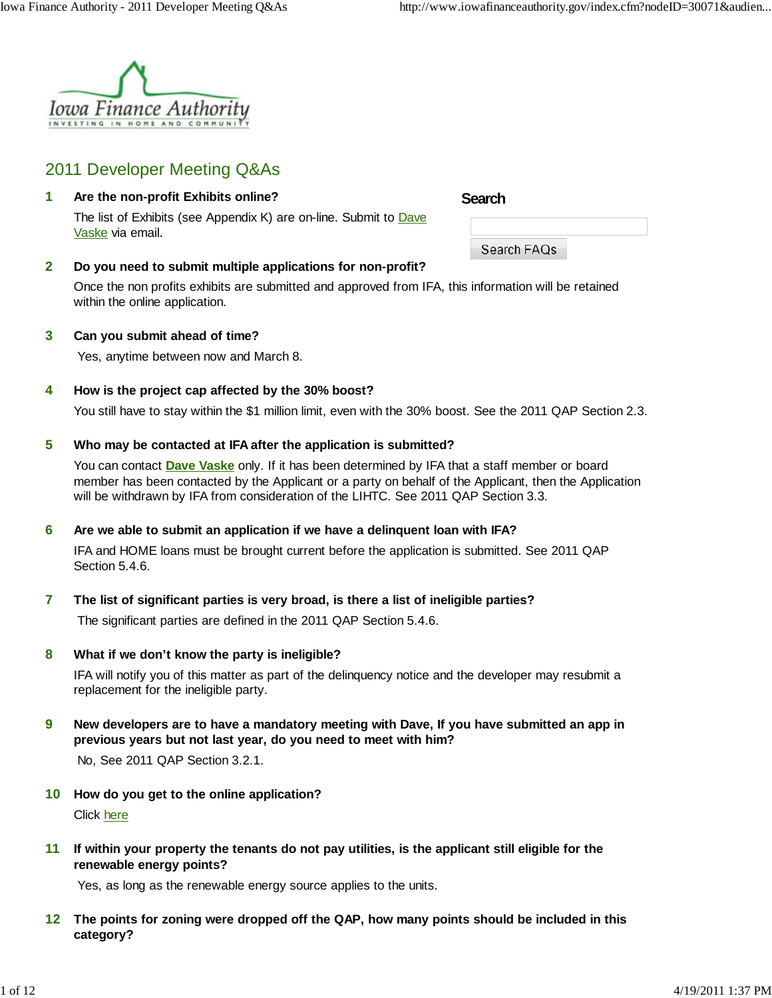

# 2011 Developer Meeting Q&As

#### **Are the non-profit Exhibits online? 1**

The list of Exhibits (see Appendix K) are on-line. Submit to Dave Vaske via email.

#### **Do you need to submit multiple applications for non-profit? 2**

Once the non profits exhibits are submitted and approved from IFA, this information will be retained within the online application.

#### **Can you submit ahead of time? 3**

Yes, anytime between now and March 8.

#### **How is the project cap affected by the 30% boost? 4**

You still have to stay within the \$1 million limit, even with the 30% boost. See the 2011 QAP Section 2.3.

#### **Who may be contacted at IFA after the application is submitted? 5**

You can contact **Dave Vaske** only. If it has been determined by IFA that a staff member or board member has been contacted by the Applicant or a party on behalf of the Applicant, then the Application will be withdrawn by IFA from consideration of the LIHTC. See 2011 QAP Section 3.3.

#### **Are we able to submit an application if we have a delinquent loan with IFA? 6**

IFA and HOME loans must be brought current before the application is submitted. See 2011 QAP Section 5.4.6.

#### **The list of significant parties is very broad, is there a list of ineligible parties? 7**

The significant parties are defined in the 2011 QAP Section 5.4.6.

#### **What if we don't know the party is ineligible? 8**

IFA will notify you of this matter as part of the delinquency notice and the developer may resubmit a replacement for the ineligible party.

**New developers are to have a mandatory meeting with Dave, If you have submitted an app in previous years but not last year, do you need to meet with him? 9**

No, See 2011 QAP Section 3.2.1.

**How do you get to the online application? 10**

Click here

**If within your property the tenants do not pay utilities, is the applicant still eligible for the renewable energy points? 11**

Yes, as long as the renewable energy source applies to the units.

**The points for zoning were dropped off the QAP, how many points should be included in this 12 category?**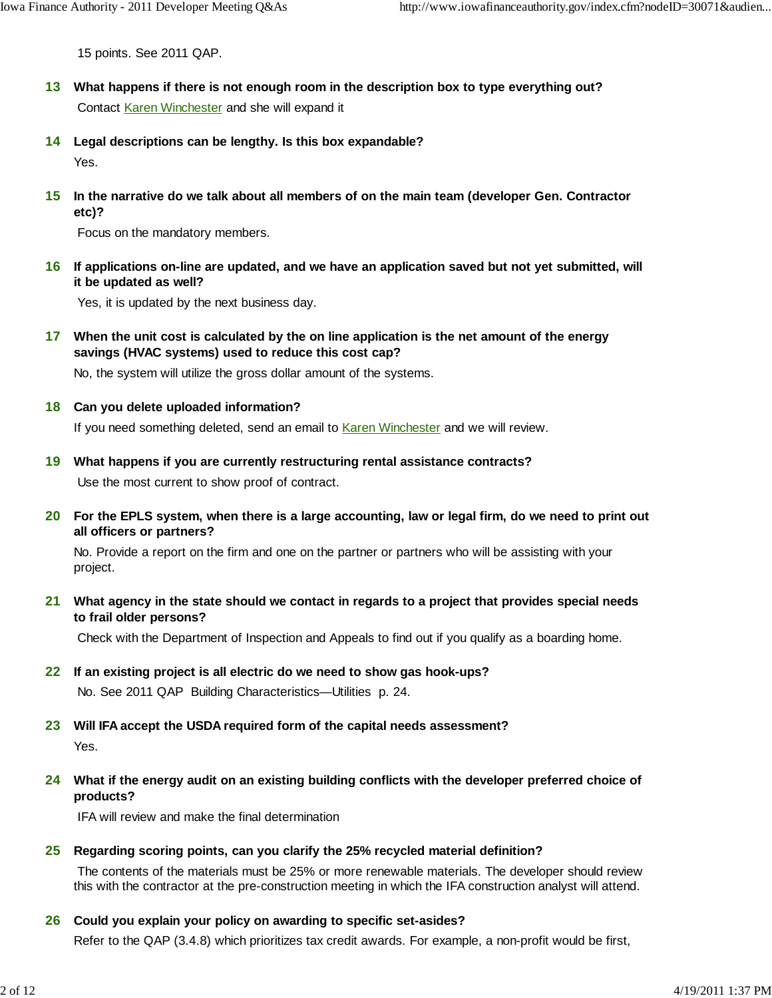15 points. See 2011 QAP.

- **What happens if there is not enough room in the description box to type everything out? 13** Contact Karen Winchester</u> and she will expand it
- **Legal descriptions can be lengthy. Is this box expandable? 14** Yes.
- **In the narrative do we talk about all members of on the main team (developer Gen. Contractor 15 etc)?**

Focus on the mandatory members.

**If applications on-line are updated, and we have an application saved but not yet submitted, will 16 it be updated as well?**

Yes, it is updated by the next business day.

**When the unit cost is calculated by the on line application is the net amount of the energy 17 savings (HVAC systems) used to reduce this cost cap?**

No, the system will utilize the gross dollar amount of the systems.

**Can you delete uploaded information? 18**

If you need something deleted, send an email to Karen Winchester and we will review.

- **What happens if you are currently restructuring rental assistance contracts? 19** Use the most current to show proof of contract.
- **For the EPLS system, when there is a large accounting, law or legal firm, do we need to print out 20 all officers or partners?**

No. Provide a report on the firm and one on the partner or partners who will be assisting with your project.

**What agency in the state should we contact in regards to a project that provides special needs 21 to frail older persons?**

Check with the Department of Inspection and Appeals to find out if you qualify as a boarding home.

- **If an existing project is all electric do we need to show gas hook-ups? 22** No. See 2011 QAP Building Characteristics—Utilities p. 24.
- **Will IFA accept the USDA required form of the capital needs assessment? 23** Yes.
- **What if the energy audit on an existing building conflicts with the developer preferred choice of 24 products?**

IFA will review and make the final determination

**Regarding scoring points, can you clarify the 25% recycled material definition? 25**

 The contents of the materials must be 25% or more renewable materials. The developer should review this with the contractor at the pre-construction meeting in which the IFA construction analyst will attend.

**Could you explain your policy on awarding to specific set-asides? 26**

Refer to the QAP (3.4.8) which prioritizes tax credit awards. For example, a non-profit would be first,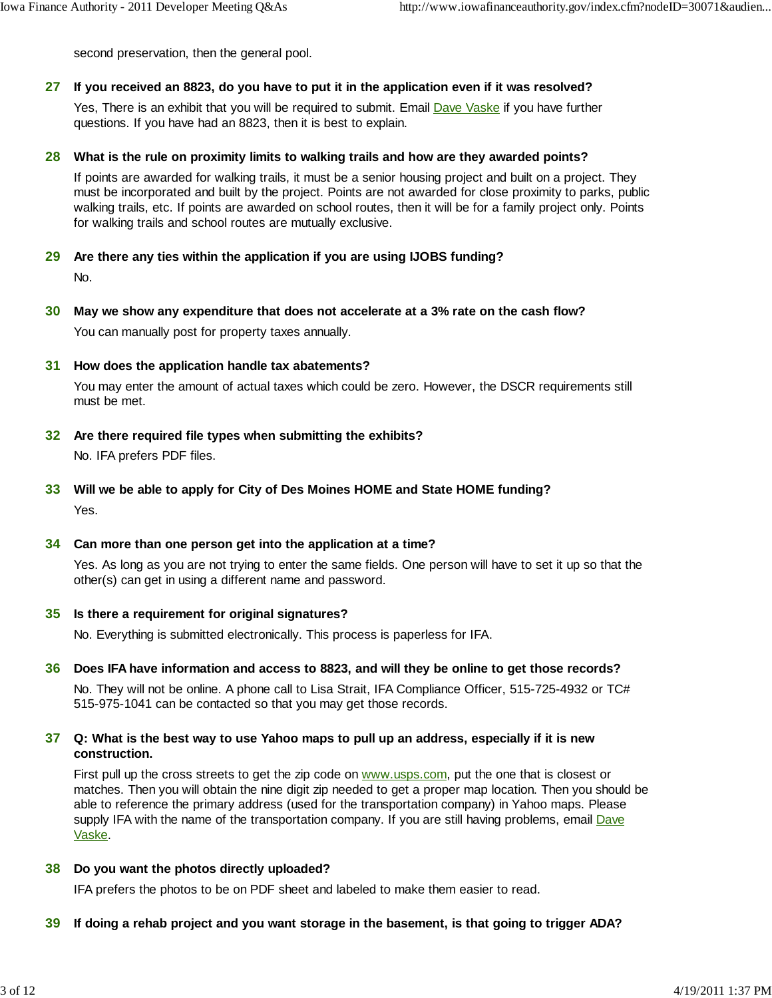second preservation, then the general pool.

# **If you received an 8823, do you have to put it in the application even if it was resolved? 27**

Yes, There is an exhibit that you will be required to submit. Email Dave Vaske if you have further questions. If you have had an 8823, then it is best to explain.

#### **What is the rule on proximity limits to walking trails and how are they awarded points? 28**

If points are awarded for walking trails, it must be a senior housing project and built on a project. They must be incorporated and built by the project. Points are not awarded for close proximity to parks, public walking trails, etc. If points are awarded on school routes, then it will be for a family project only. Points for walking trails and school routes are mutually exclusive.

- **Are there any ties within the application if you are using IJOBS funding? 29** No.
- **May we show any expenditure that does not accelerate at a 3% rate on the cash flow?** You can manually post for property taxes annually. **30**
- **How does the application handle tax abatements? 31**

You may enter the amount of actual taxes which could be zero. However, the DSCR requirements still must be met.

**Are there required file types when submitting the exhibits? 32**

No. IFA prefers PDF files.

**Will we be able to apply for City of Des Moines HOME and State HOME funding? 33**

Yes.

# **Can more than one person get into the application at a time? 34**

Yes. As long as you are not trying to enter the same fields. One person will have to set it up so that the other(s) can get in using a different name and password.

#### **Is there a requirement for original signatures? 35**

No. Everything is submitted electronically. This process is paperless for IFA.

#### **Does IFA have information and access to 8823, and will they be online to get those records? 36**

No. They will not be online. A phone call to Lisa Strait, IFA Compliance Officer, 515-725-4932 or TC# 515-975-1041 can be contacted so that you may get those records.

#### **Q: What is the best way to use Yahoo maps to pull up an address, especially if it is new 37 construction.**

First pull up the cross streets to get the zip code on www.usps.com, put the one that is closest or matches. Then you will obtain the nine digit zip needed to get a proper map location. Then you should be able to reference the primary address (used for the transportation company) in Yahoo maps. Please supply IFA with the name of the transportation company. If you are still having problems, email Dave Vaske.

#### **Do you want the photos directly uploaded? 38**

IFA prefers the photos to be on PDF sheet and labeled to make them easier to read.

**If doing a rehab project and you want storage in the basement, is that going to trigger ADA? 39**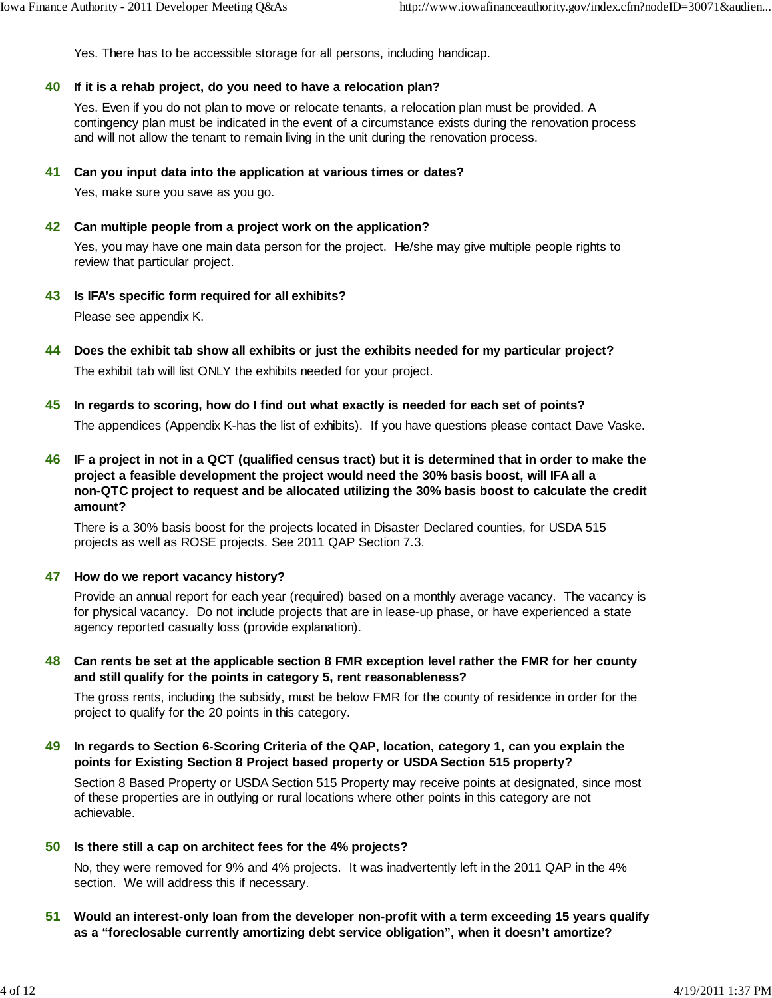Yes. There has to be accessible storage for all persons, including handicap.

#### **If it is a rehab project, do you need to have a relocation plan? 40**

Yes. Even if you do not plan to move or relocate tenants, a relocation plan must be provided. A contingency plan must be indicated in the event of a circumstance exists during the renovation process and will not allow the tenant to remain living in the unit during the renovation process.

#### **Can you input data into the application at various times or dates? 41**

Yes, make sure you save as you go.

#### **Can multiple people from a project work on the application? 42**

Yes, you may have one main data person for the project. He/she may give multiple people rights to review that particular project.

#### **Is IFA's specific form required for all exhibits? 43**

Please see appendix K.

- **Does the exhibit tab show all exhibits or just the exhibits needed for my particular project? 44** The exhibit tab will list ONLY the exhibits needed for your project.
- **In regards to scoring, how do I find out what exactly is needed for each set of points? 45**

The appendices (Appendix K-has the list of exhibits). If you have questions please contact Dave Vaske.

**IF a project in not in a QCT (qualified census tract) but it is determined that in order to make the 46 project a feasible development the project would need the 30% basis boost, will IFA all a non-QTC project to request and be allocated utilizing the 30% basis boost to calculate the credit amount?**

There is a 30% basis boost for the projects located in Disaster Declared counties, for USDA 515 projects as well as ROSE projects. See 2011 QAP Section 7.3.

# **How do we report vacancy history? 47**

Provide an annual report for each year (required) based on a monthly average vacancy. The vacancy is for physical vacancy. Do not include projects that are in lease-up phase, or have experienced a state agency reported casualty loss (provide explanation).

**Can rents be set at the applicable section 8 FMR exception level rather the FMR for her county 48 and still qualify for the points in category 5, rent reasonableness?**

The gross rents, including the subsidy, must be below FMR for the county of residence in order for the project to qualify for the 20 points in this category.

**In regards to Section 6-Scoring Criteria of the QAP, location, category 1, can you explain the 49 points for Existing Section 8 Project based property or USDA Section 515 property?**

Section 8 Based Property or USDA Section 515 Property may receive points at designated, since most of these properties are in outlying or rural locations where other points in this category are not achievable.

#### **Is there still a cap on architect fees for the 4% projects? 50**

No, they were removed for 9% and 4% projects. It was inadvertently left in the 2011 QAP in the 4% section. We will address this if necessary.

**Would an interest-only loan from the developer non-profit with a term exceeding 15 years qualify 51 as a "foreclosable currently amortizing debt service obligation", when it doesn't amortize?**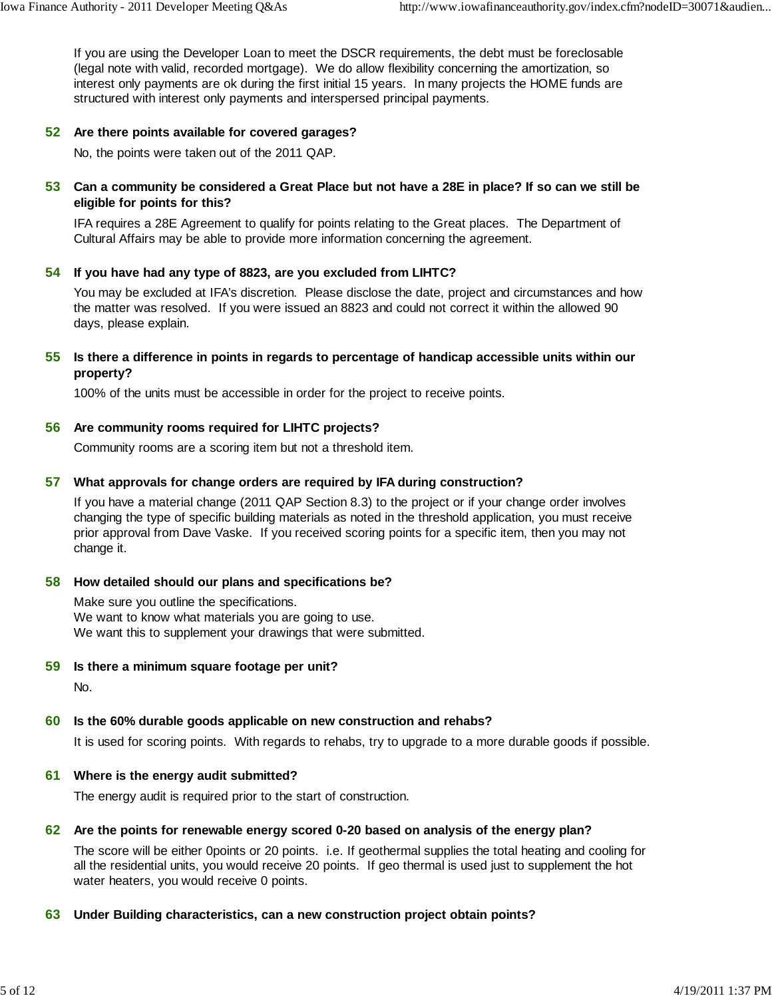If you are using the Developer Loan to meet the DSCR requirements, the debt must be foreclosable (legal note with valid, recorded mortgage). We do allow flexibility concerning the amortization, so interest only payments are ok during the first initial 15 years. In many projects the HOME funds are structured with interest only payments and interspersed principal payments.

# **Are there points available for covered garages? 52**

No, the points were taken out of the 2011 QAP.

#### **Can a community be considered a Great Place but not have a 28E in place? If so can we still be 53 eligible for points for this?**

IFA requires a 28E Agreement to qualify for points relating to the Great places. The Department of Cultural Affairs may be able to provide more information concerning the agreement.

# **If you have had any type of 8823, are you excluded from LIHTC? 54**

You may be excluded at IFA's discretion. Please disclose the date, project and circumstances and how the matter was resolved. If you were issued an 8823 and could not correct it within the allowed 90 days, please explain.

#### **Is there a difference in points in regards to percentage of handicap accessible units within our 55 property?**

100% of the units must be accessible in order for the project to receive points.

# **Are community rooms required for LIHTC projects? 56**

Community rooms are a scoring item but not a threshold item.

#### **What approvals for change orders are required by IFA during construction? 57**

If you have a material change (2011 QAP Section 8.3) to the project or if your change order involves changing the type of specific building materials as noted in the threshold application, you must receive prior approval from Dave Vaske. If you received scoring points for a specific item, then you may not change it.

#### **How detailed should our plans and specifications be? 58**

Make sure you outline the specifications. We want to know what materials you are going to use. We want this to supplement your drawings that were submitted.

# **59** Is there a minimum square footage per unit?

No.

#### **Is the 60% durable goods applicable on new construction and rehabs? 60**

It is used for scoring points. With regards to rehabs, try to upgrade to a more durable goods if possible.

# **Where is the energy audit submitted? 61**

The energy audit is required prior to the start of construction.

#### **Are the points for renewable energy scored 0-20 based on analysis of the energy plan? 62**

The score will be either 0points or 20 points. i.e. If geothermal supplies the total heating and cooling for all the residential units, you would receive 20 points. If geo thermal is used just to supplement the hot water heaters, you would receive 0 points.

#### **Under Building characteristics, can a new construction project obtain points? 63**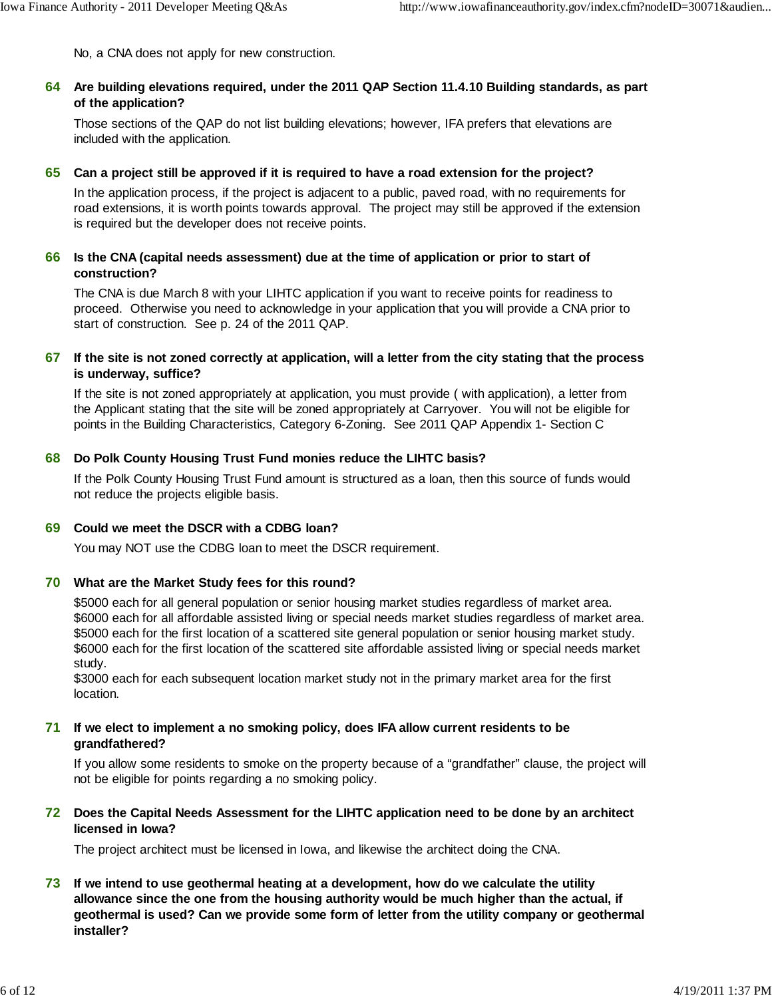No, a CNA does not apply for new construction.

#### **Are building elevations required, under the 2011 QAP Section 11.4.10 Building standards, as part 64 of the application?**

Those sections of the QAP do not list building elevations; however, IFA prefers that elevations are included with the application.

#### **Can a project still be approved if it is required to have a road extension for the project? 65**

In the application process, if the project is adjacent to a public, paved road, with no requirements for road extensions, it is worth points towards approval. The project may still be approved if the extension is required but the developer does not receive points.

#### **Is the CNA (capital needs assessment) due at the time of application or prior to start of 66 construction?**

The CNA is due March 8 with your LIHTC application if you want to receive points for readiness to proceed. Otherwise you need to acknowledge in your application that you will provide a CNA prior to start of construction. See p. 24 of the 2011 QAP.

#### **If the site is not zoned correctly at application, will a letter from the city stating that the process 67 is underway, suffice?**

If the site is not zoned appropriately at application, you must provide ( with application), a letter from the Applicant stating that the site will be zoned appropriately at Carryover. You will not be eligible for points in the Building Characteristics, Category 6-Zoning. See 2011 QAP Appendix 1- Section C

#### **Do Polk County Housing Trust Fund monies reduce the LIHTC basis? 68**

If the Polk County Housing Trust Fund amount is structured as a loan, then this source of funds would not reduce the projects eligible basis.

# **Could we meet the DSCR with a CDBG loan? 69**

You may NOT use the CDBG loan to meet the DSCR requirement.

# **What are the Market Study fees for this round? 70**

\$5000 each for all general population or senior housing market studies regardless of market area. \$6000 each for all affordable assisted living or special needs market studies regardless of market area. \$5000 each for the first location of a scattered site general population or senior housing market study. \$6000 each for the first location of the scattered site affordable assisted living or special needs market study.

\$3000 each for each subsequent location market study not in the primary market area for the first location.

#### **If we elect to implement a no smoking policy, does IFA allow current residents to be 71 grandfathered?**

If you allow some residents to smoke on the property because of a "grandfather" clause, the project will not be eligible for points regarding a no smoking policy.

# **Does the Capital Needs Assessment for the LIHTC application need to be done by an architect 72 licensed in Iowa?**

The project architect must be licensed in Iowa, and likewise the architect doing the CNA.

**If we intend to use geothermal heating at a development, how do we calculate the utility 73 allowance since the one from the housing authority would be much higher than the actual, if geothermal is used? Can we provide some form of letter from the utility company or geothermal installer?**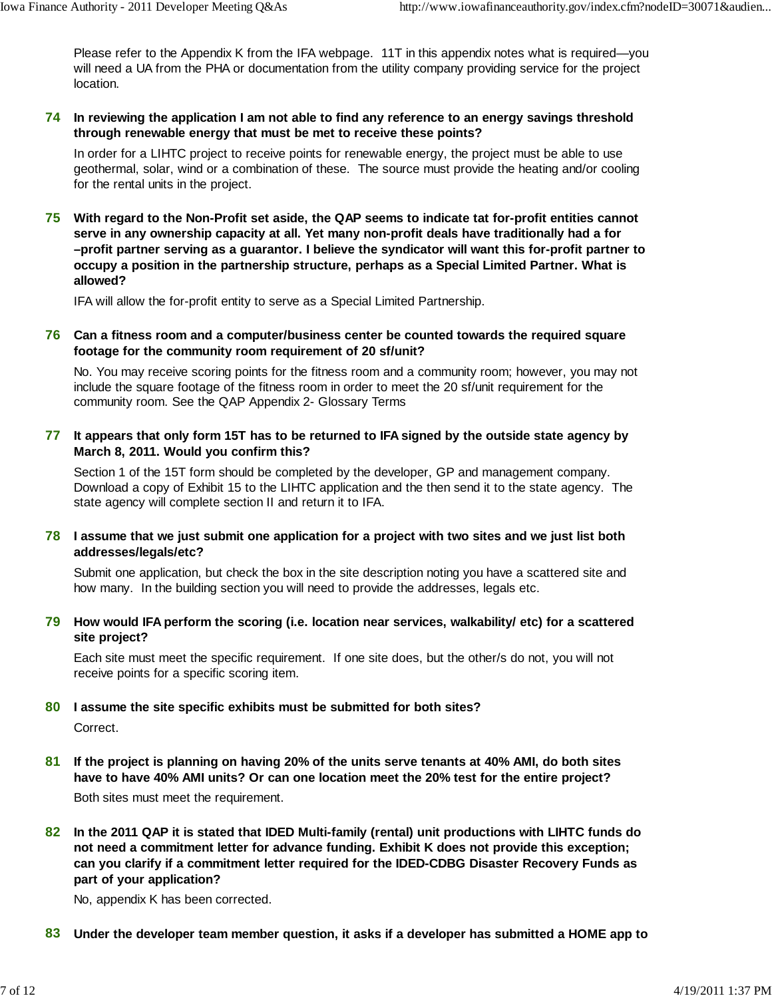Please refer to the Appendix K from the IFA webpage. 11T in this appendix notes what is required—you will need a UA from the PHA or documentation from the utility company providing service for the project location.

**In reviewing the application I am not able to find any reference to an energy savings threshold 74 through renewable energy that must be met to receive these points?**

In order for a LIHTC project to receive points for renewable energy, the project must be able to use geothermal, solar, wind or a combination of these. The source must provide the heating and/or cooling for the rental units in the project.

**With regard to the Non-Profit set aside, the QAP seems to indicate tat for-profit entities cannot 75 serve in any ownership capacity at all. Yet many non-profit deals have traditionally had a for –profit partner serving as a guarantor. I believe the syndicator will want this for-profit partner to occupy a position in the partnership structure, perhaps as a Special Limited Partner. What is allowed?**

IFA will allow the for-profit entity to serve as a Special Limited Partnership.

**Can a fitness room and a computer/business center be counted towards the required square 76 footage for the community room requirement of 20 sf/unit?**

No. You may receive scoring points for the fitness room and a community room; however, you may not include the square footage of the fitness room in order to meet the 20 sf/unit requirement for the community room. See the QAP Appendix 2- Glossary Terms

**It appears that only form 15T has to be returned to IFA signed by the outside state agency by 77 March 8, 2011. Would you confirm this?**

Section 1 of the 15T form should be completed by the developer, GP and management company. Download a copy of Exhibit 15 to the LIHTC application and the then send it to the state agency. The state agency will complete section II and return it to IFA.

**I assume that we just submit one application for a project with two sites and we just list both 78 addresses/legals/etc?**

Submit one application, but check the box in the site description noting you have a scattered site and how many. In the building section you will need to provide the addresses, legals etc.

**How would IFA perform the scoring (i.e. location near services, walkability/ etc) for a scattered 79 site project?**

Each site must meet the specific requirement. If one site does, but the other/s do not, you will not receive points for a specific scoring item.

**I assume the site specific exhibits must be submitted for both sites? 80**

Correct.

**If the project is planning on having 20% of the units serve tenants at 40% AMI, do both sites 81 have to have 40% AMI units? Or can one location meet the 20% test for the entire project?**

Both sites must meet the requirement.

**In the 2011 QAP it is stated that IDED Multi-family (rental) unit productions with LIHTC funds do 82 not need a commitment letter for advance funding. Exhibit K does not provide this exception; can you clarify if a commitment letter required for the IDED-CDBG Disaster Recovery Funds as part of your application?**

No, appendix K has been corrected.

**Under the developer team member question, it asks if a developer has submitted a HOME app to 83**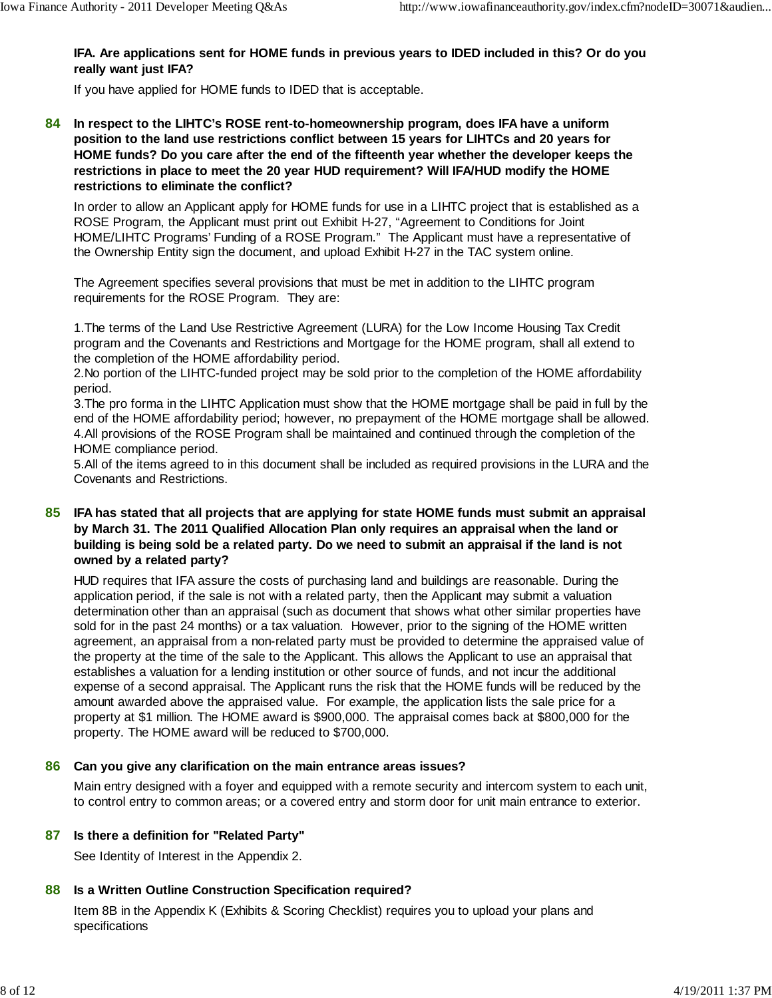# **IFA. Are applications sent for HOME funds in previous years to IDED included in this? Or do you really want just IFA?**

If you have applied for HOME funds to IDED that is acceptable.

**In respect to the LIHTC's ROSE rent-to-homeownership program, does IFA have a uniform 84 position to the land use restrictions conflict between 15 years for LIHTCs and 20 years for HOME funds? Do you care after the end of the fifteenth year whether the developer keeps the restrictions in place to meet the 20 year HUD requirement? Will IFA/HUD modify the HOME restrictions to eliminate the conflict?**

In order to allow an Applicant apply for HOME funds for use in a LIHTC project that is established as a ROSE Program, the Applicant must print out Exhibit H-27, "Agreement to Conditions for Joint HOME/LIHTC Programs' Funding of a ROSE Program." The Applicant must have a representative of the Ownership Entity sign the document, and upload Exhibit H-27 in the TAC system online.

The Agreement specifies several provisions that must be met in addition to the LIHTC program requirements for the ROSE Program. They are:

1.The terms of the Land Use Restrictive Agreement (LURA) for the Low Income Housing Tax Credit program and the Covenants and Restrictions and Mortgage for the HOME program, shall all extend to the completion of the HOME affordability period.

2.No portion of the LIHTC-funded project may be sold prior to the completion of the HOME affordability period.

3.The pro forma in the LIHTC Application must show that the HOME mortgage shall be paid in full by the end of the HOME affordability period; however, no prepayment of the HOME mortgage shall be allowed. 4.All provisions of the ROSE Program shall be maintained and continued through the completion of the HOME compliance period.

5.All of the items agreed to in this document shall be included as required provisions in the LURA and the Covenants and Restrictions.

# **IFA has stated that all projects that are applying for state HOME funds must submit an appraisal 85 by March 31. The 2011 Qualified Allocation Plan only requires an appraisal when the land or building is being sold be a related party. Do we need to submit an appraisal if the land is not owned by a related party?**

HUD requires that IFA assure the costs of purchasing land and buildings are reasonable. During the application period, if the sale is not with a related party, then the Applicant may submit a valuation determination other than an appraisal (such as document that shows what other similar properties have sold for in the past 24 months) or a tax valuation. However, prior to the signing of the HOME written agreement, an appraisal from a non-related party must be provided to determine the appraised value of the property at the time of the sale to the Applicant. This allows the Applicant to use an appraisal that establishes a valuation for a lending institution or other source of funds, and not incur the additional expense of a second appraisal. The Applicant runs the risk that the HOME funds will be reduced by the amount awarded above the appraised value. For example, the application lists the sale price for a property at \$1 million. The HOME award is \$900,000. The appraisal comes back at \$800,000 for the property. The HOME award will be reduced to \$700,000.

# **Can you give any clarification on the main entrance areas issues? 86**

Main entry designed with a foyer and equipped with a remote security and intercom system to each unit, to control entry to common areas; or a covered entry and storm door for unit main entrance to exterior.

# **Is there a definition for "Related Party" 87**

See Identity of Interest in the Appendix 2.

#### **Is a Written Outline Construction Specification required? 88**

Item 8B in the Appendix K (Exhibits & Scoring Checklist) requires you to upload your plans and specifications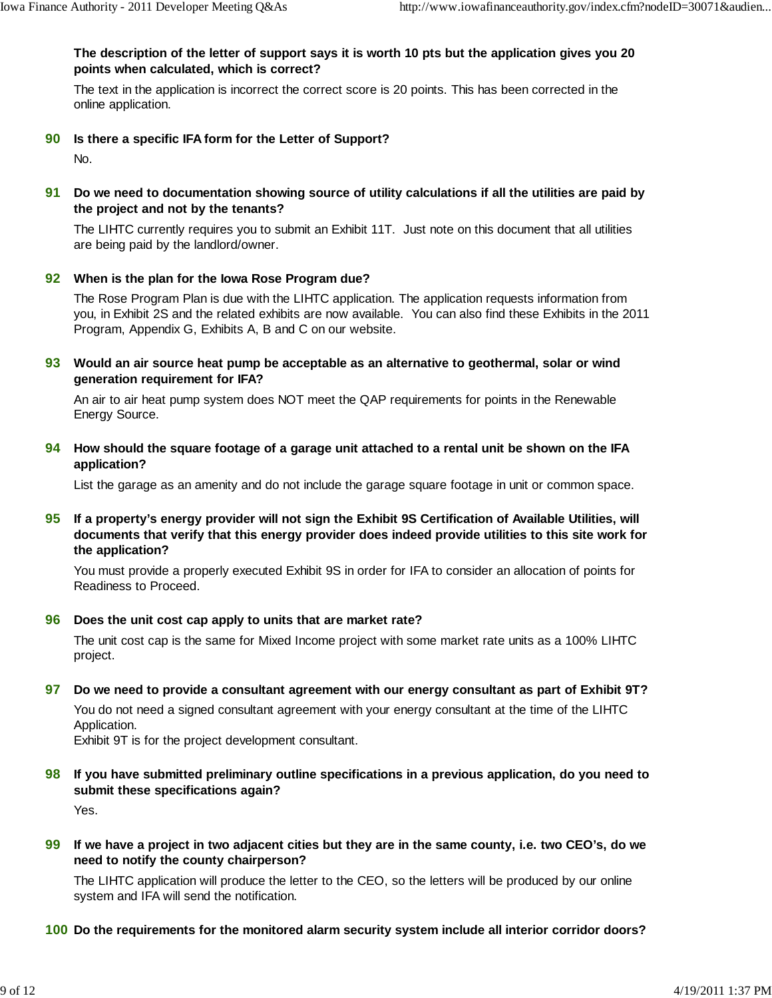# **The description of the letter of support says it is worth 10 pts but the application gives you 20 points when calculated, which is correct?**

The text in the application is incorrect the correct score is 20 points. This has been corrected in the online application.

**Is there a specific IFA form for the Letter of Support? 90**

No.

**Do we need to documentation showing source of utility calculations if all the utilities are paid by the project and not by the tenants? 91**

The LIHTC currently requires you to submit an Exhibit 11T. Just note on this document that all utilities are being paid by the landlord/owner.

**When is the plan for the Iowa Rose Program due? 92**

The Rose Program Plan is due with the LIHTC application. The application requests information from you, in Exhibit 2S and the related exhibits are now available. You can also find these Exhibits in the 2011 Program, Appendix G, Exhibits A, B and C on our website.

**Would an air source heat pump be acceptable as an alternative to geothermal, solar or wind 93 generation requirement for IFA?**

An air to air heat pump system does NOT meet the QAP requirements for points in the Renewable Energy Source.

**How should the square footage of a garage unit attached to a rental unit be shown on the IFA 94 application?**

List the garage as an amenity and do not include the garage square footage in unit or common space.

**If a property's energy provider will not sign the Exhibit 9S Certification of Available Utilities, will documents that verify that this energy provider does indeed provide utilities to this site work for the application? 95**

You must provide a properly executed Exhibit 9S in order for IFA to consider an allocation of points for Readiness to Proceed.

**Does the unit cost cap apply to units that are market rate? 96**

The unit cost cap is the same for Mixed Income project with some market rate units as a 100% LIHTC project.

**Do we need to provide a consultant agreement with our energy consultant as part of Exhibit 9T? 97**

You do not need a signed consultant agreement with your energy consultant at the time of the LIHTC Application.

Exhibit 9T is for the project development consultant.

**If you have submitted preliminary outline specifications in a previous application, do you need to 98 submit these specifications again?**

Yes.

**If we have a project in two adjacent cities but they are in the same county, i.e. two CEO's, do we need to notify the county chairperson? 99**

The LIHTC application will produce the letter to the CEO, so the letters will be produced by our online system and IFA will send the notification.

100 Do the requirements for the monitored alarm security system include all interior corridor doors?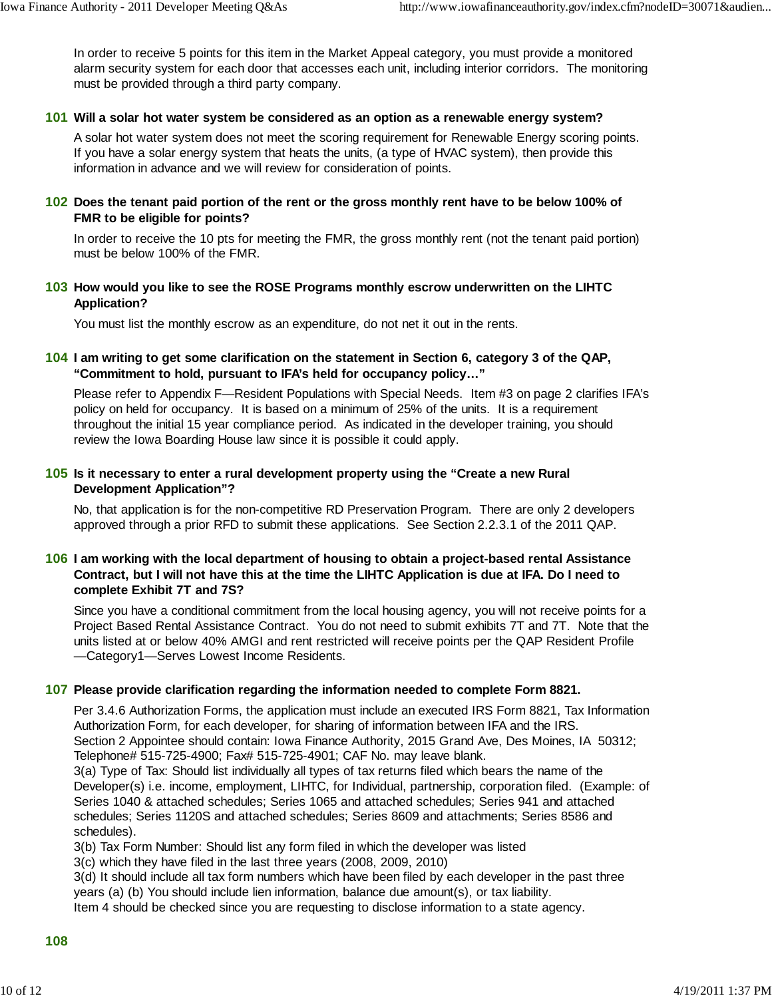In order to receive 5 points for this item in the Market Appeal category, you must provide a monitored alarm security system for each door that accesses each unit, including interior corridors. The monitoring must be provided through a third party company.

#### **101** Will a solar hot water system be considered as an option as a renewable energy system?

A solar hot water system does not meet the scoring requirement for Renewable Energy scoring points. If you have a solar energy system that heats the units, (a type of HVAC system), then provide this information in advance and we will review for consideration of points.

**102** Does the tenant paid portion of the rent or the gross monthly rent have to be below 100% of **FMR to be eligible for points?**

In order to receive the 10 pts for meeting the FMR, the gross monthly rent (not the tenant paid portion) must be below 100% of the FMR.

#### **How would you like to see the ROSE Programs monthly escrow underwritten on the LIHTC 103 Application?**

You must list the monthly escrow as an expenditure, do not net it out in the rents.

# **I am writing to get some clarification on the statement in Section 6, category 3 of the QAP, 104 "Commitment to hold, pursuant to IFA's held for occupancy policy…"**

Please refer to Appendix F—Resident Populations with Special Needs. Item #3 on page 2 clarifies IFA's policy on held for occupancy. It is based on a minimum of 25% of the units. It is a requirement throughout the initial 15 year compliance period. As indicated in the developer training, you should review the Iowa Boarding House law since it is possible it could apply.

#### **105** Is it necessary to enter a rural development property using the "Create a new Rural **Development Application"?**

No, that application is for the non-competitive RD Preservation Program. There are only 2 developers approved through a prior RFD to submit these applications. See Section 2.2.3.1 of the 2011 QAP.

#### **I am working with the local department of housing to obtain a project-based rental Assistance 106 Contract, but I will not have this at the time the LIHTC Application is due at IFA. Do I need to complete Exhibit 7T and 7S?**

Since you have a conditional commitment from the local housing agency, you will not receive points for a Project Based Rental Assistance Contract. You do not need to submit exhibits 7T and 7T. Note that the units listed at or below 40% AMGI and rent restricted will receive points per the QAP Resident Profile —Category1—Serves Lowest Income Residents.

# **Please provide clarification regarding the information needed to complete Form 8821. 107**

Per 3.4.6 Authorization Forms, the application must include an executed IRS Form 8821, Tax Information Authorization Form, for each developer, for sharing of information between IFA and the IRS. Section 2 Appointee should contain: Iowa Finance Authority, 2015 Grand Ave, Des Moines, IA 50312; Telephone# 515-725-4900; Fax# 515-725-4901; CAF No. may leave blank.

3(a) Type of Tax: Should list individually all types of tax returns filed which bears the name of the Developer(s) i.e. income, employment, LIHTC, for Individual, partnership, corporation filed. (Example: of Series 1040 & attached schedules; Series 1065 and attached schedules; Series 941 and attached schedules; Series 1120S and attached schedules; Series 8609 and attachments; Series 8586 and schedules).

3(b) Tax Form Number: Should list any form filed in which the developer was listed

3(c) which they have filed in the last three years (2008, 2009, 2010)

3(d) It should include all tax form numbers which have been filed by each developer in the past three years (a) (b) You should include lien information, balance due amount(s), or tax liability.

Item 4 should be checked since you are requesting to disclose information to a state agency.

**108**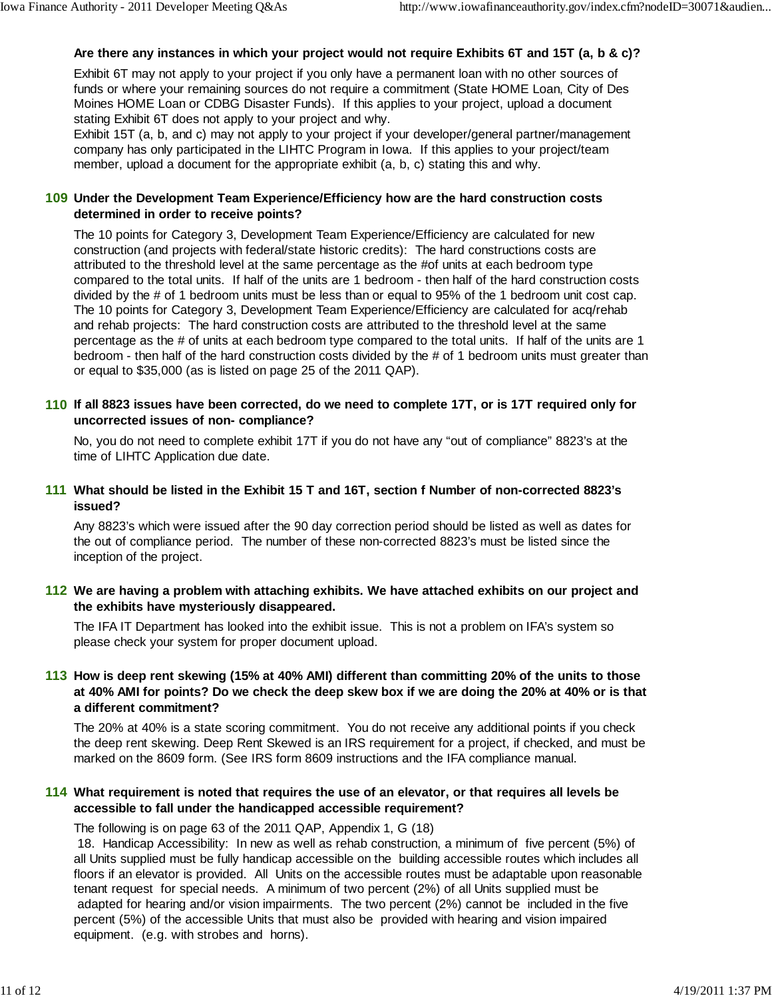# **Are there any instances in which your project would not require Exhibits 6T and 15T (a, b & c)?**

Exhibit 6T may not apply to your project if you only have a permanent loan with no other sources of funds or where your remaining sources do not require a commitment (State HOME Loan, City of Des Moines HOME Loan or CDBG Disaster Funds). If this applies to your project, upload a document stating Exhibit 6T does not apply to your project and why.

Exhibit 15T (a, b, and c) may not apply to your project if your developer/general partner/management company has only participated in the LIHTC Program in Iowa. If this applies to your project/team member, upload a document for the appropriate exhibit (a, b, c) stating this and why.

#### **Under the Development Team Experience/Efficiency how are the hard construction costs 109 determined in order to receive points?**

The 10 points for Category 3, Development Team Experience/Efficiency are calculated for new construction (and projects with federal/state historic credits): The hard constructions costs are attributed to the threshold level at the same percentage as the #of units at each bedroom type compared to the total units. If half of the units are 1 bedroom - then half of the hard construction costs divided by the # of 1 bedroom units must be less than or equal to 95% of the 1 bedroom unit cost cap. The 10 points for Category 3, Development Team Experience/Efficiency are calculated for acq/rehab and rehab projects: The hard construction costs are attributed to the threshold level at the same percentage as the # of units at each bedroom type compared to the total units. If half of the units are 1 bedroom - then half of the hard construction costs divided by the # of 1 bedroom units must greater than or equal to \$35,000 (as is listed on page 25 of the 2011 QAP).

#### **If all 8823 issues have been corrected, do we need to complete 17T, or is 17T required only for 110 uncorrected issues of non- compliance?**

No, you do not need to complete exhibit 17T if you do not have any "out of compliance" 8823's at the time of LIHTC Application due date.

#### **What should be listed in the Exhibit 15 T and 16T, section f Number of non-corrected 8823's 111 issued?**

Any 8823's which were issued after the 90 day correction period should be listed as well as dates for the out of compliance period. The number of these non-corrected 8823's must be listed since the inception of the project.

#### **We are having a problem with attaching exhibits. We have attached exhibits on our project and 112 the exhibits have mysteriously disappeared.**

The IFA IT Department has looked into the exhibit issue. This is not a problem on IFA's system so please check your system for proper document upload.

#### **How is deep rent skewing (15% at 40% AMI) different than committing 20% of the units to those 113 at 40% AMI for points? Do we check the deep skew box if we are doing the 20% at 40% or is that a different commitment?**

The 20% at 40% is a state scoring commitment. You do not receive any additional points if you check the deep rent skewing. Deep Rent Skewed is an IRS requirement for a project, if checked, and must be marked on the 8609 form. (See IRS form 8609 instructions and the IFA compliance manual.

#### **What requirement is noted that requires the use of an elevator, or that requires all levels be 114 accessible to fall under the handicapped accessible requirement?**

The following is on page 63 of the 2011 QAP, Appendix 1, G (18)

 18. Handicap Accessibility: In new as well as rehab construction, a minimum of five percent (5%) of all Units supplied must be fully handicap accessible on the building accessible routes which includes all floors if an elevator is provided. All Units on the accessible routes must be adaptable upon reasonable tenant request for special needs. A minimum of two percent (2%) of all Units supplied must be adapted for hearing and/or vision impairments. The two percent (2%) cannot be included in the five percent (5%) of the accessible Units that must also be provided with hearing and vision impaired equipment. (e.g. with strobes and horns).